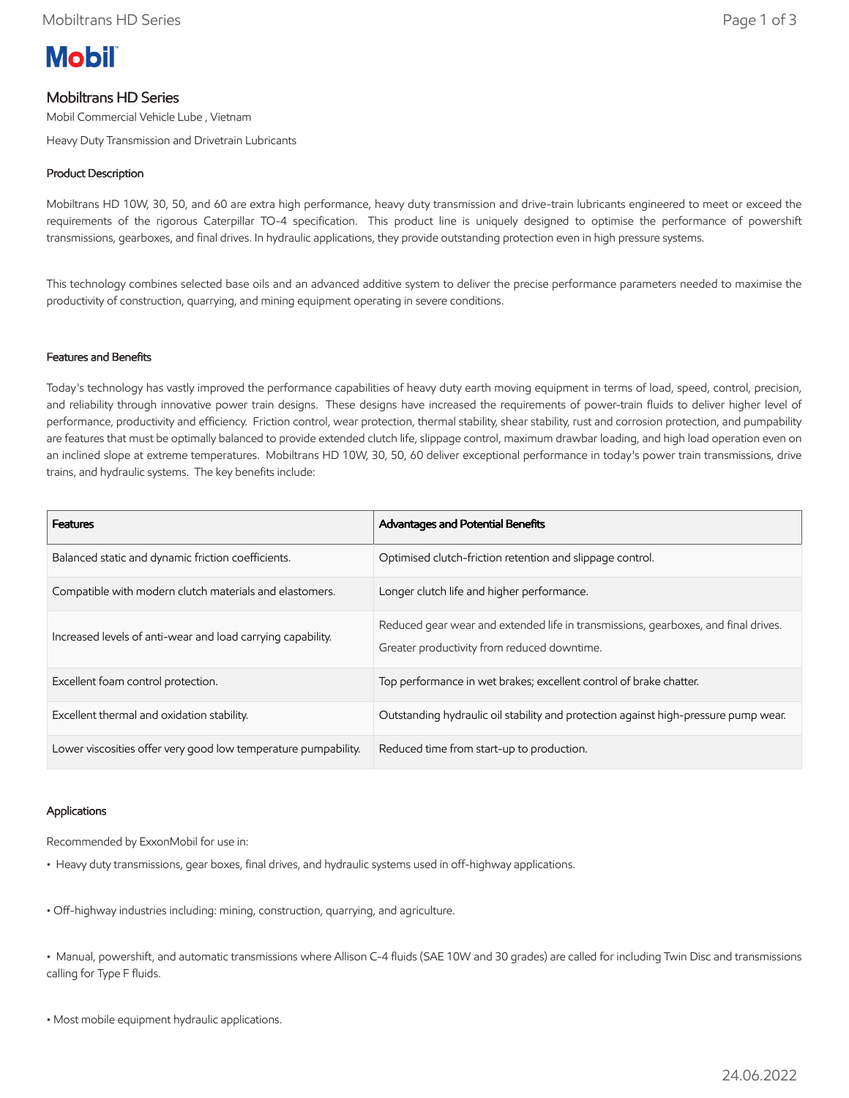

# Mobiltrans HD Series

Mobil Commercial Vehicle Lube , Vietnam

Heavy Duty Transmission and Drivetrain Lubricants

## Product Description

Mobiltrans HD 10W, 30, 50, and 60 are extra high performance, heavy duty transmission and drive-train lubricants engineered to meet or exceed the requirements of the rigorous Caterpillar TO-4 specification. This product line is uniquely designed to optimise the performance of powershift transmissions, gearboxes, and final drives. In hydraulic applications, they provide outstanding protection even in high pressure systems.

This technology combines selected base oils and an advanced additive system to deliver the precise performance parameters needed to maximise the productivity of construction, quarrying, and mining equipment operating in severe conditions.

### Features and Benefits

Today's technology has vastly improved the performance capabilities of heavy duty earth moving equipment in terms of load, speed, control, precision, and reliability through innovative power train designs. These designs have increased the requirements of power-train fluids to deliver higher level of performance, productivity and efficiency. Friction control, wear protection, thermal stability, shear stability, rust and corrosion protection, and pumpability are features that must be optimally balanced to provide extended clutch life, slippage control, maximum drawbar loading, and high load operation even on an inclined slope at extreme temperatures. Mobiltrans HD 10W, 30, 50, 60 deliver exceptional performance in today's power train transmissions, drive trains, and hydraulic systems. The key benefits include:

| <b>Features</b>                                                | Advantages and Potential Benefits                                                                                                 |
|----------------------------------------------------------------|-----------------------------------------------------------------------------------------------------------------------------------|
| Balanced static and dynamic friction coefficients.             | Optimised clutch-friction retention and slippage control.                                                                         |
| Compatible with modern clutch materials and elastomers.        | Longer clutch life and higher performance.                                                                                        |
| Increased levels of anti-wear and load carrying capability.    | Reduced gear wear and extended life in transmissions, gearboxes, and final drives.<br>Greater productivity from reduced downtime. |
| Excellent foam control protection.                             | Top performance in wet brakes; excellent control of brake chatter.                                                                |
| Excellent thermal and oxidation stability.                     | Outstanding hydraulic oil stability and protection against high-pressure pump wear.                                               |
| Lower viscosities offer very good low temperature pumpability. | Reduced time from start-up to production.                                                                                         |

### Applications

Recommended by ExxonMobil for use in:

- Heavy duty transmissions, gear boxes, final drives, and hydraulic systems used in off-highway applications.
- Off-highway industries including: mining, construction, quarrying, and agriculture.

• Manual, powershift, and automatic transmissions where Allison C-4 fluids (SAE 10W and 30 grades) are called for including Twin Disc and transmissions calling for Type F fluids.

• Most mobile equipment hydraulic applications.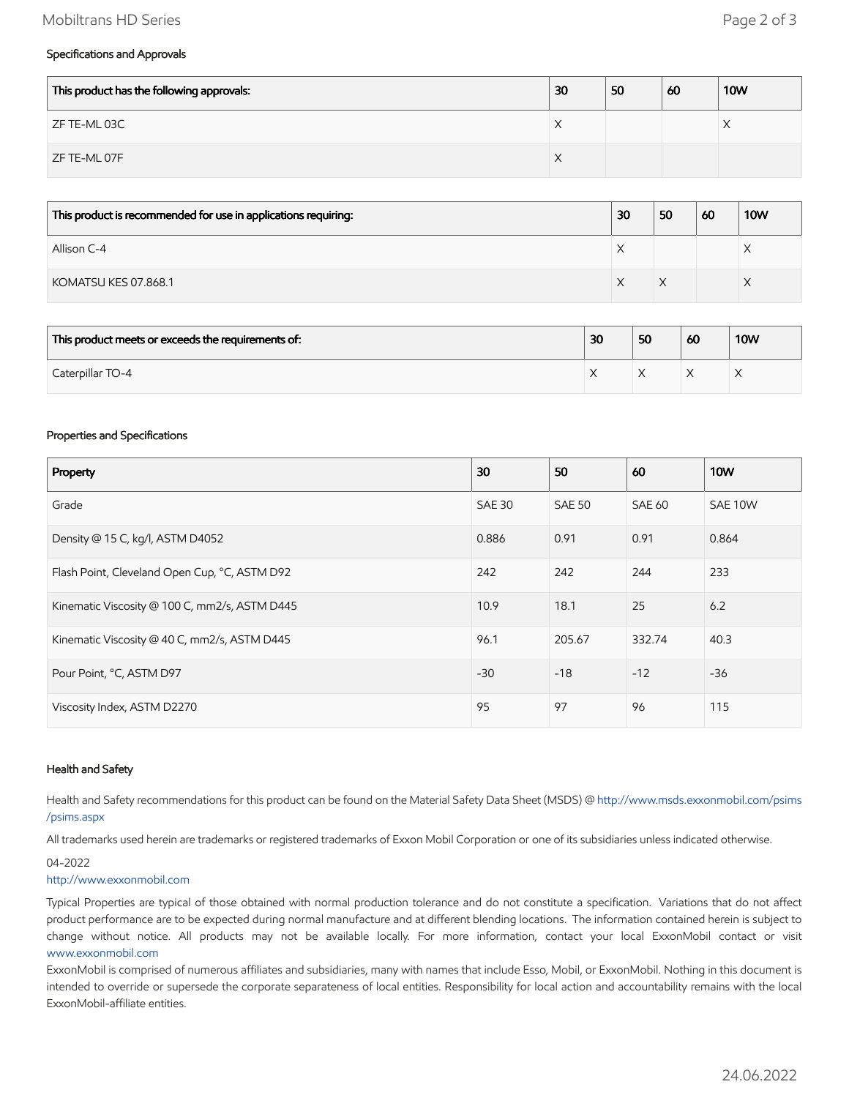### Mobiltrans HD Series Page 2 of 3

### Specifications and Approvals

| This product has the following approvals: | 30 | 50 | 60 | <b>10W</b> |
|-------------------------------------------|----|----|----|------------|
| ZF TE-ML 03C                              | ⌒  |    |    | $\wedge$   |
| ZF TE-ML 07F                              | ∧  |    |    |            |

| This product is recommended for use in applications requiring: | 30 | 50 | 60 | <b>10W</b> |
|----------------------------------------------------------------|----|----|----|------------|
| Allison C-4                                                    | ⌒  |    |    |            |
| KOMATSU KES 07.868.1                                           |    |    |    |            |

| This product meets or exceeds the requirements of: | 30 | 50 | 60 | <b>10W</b> |
|----------------------------------------------------|----|----|----|------------|
| Caterpillar TO-4                                   |    |    |    |            |

#### Properties and Specifications

| Property                                      | 30            | 50            | 60            | <b>10W</b> |
|-----------------------------------------------|---------------|---------------|---------------|------------|
| Grade                                         | <b>SAE 30</b> | <b>SAE 50</b> | <b>SAE 60</b> | SAE 10W    |
| Density @ 15 C, kg/l, ASTM D4052              | 0.886         | 0.91          | 0.91          | 0.864      |
| Flash Point, Cleveland Open Cup, °C, ASTM D92 | 242           | 242           | 244           | 233        |
| Kinematic Viscosity @ 100 C, mm2/s, ASTM D445 | 10.9          | 18.1          | 25            | 6.2        |
| Kinematic Viscosity @ 40 C, mm2/s, ASTM D445  | 96.1          | 205.67        | 332.74        | 40.3       |
| Pour Point, °C, ASTM D97                      | $-30$         | $-18$         | $-12$         | $-36$      |
| Viscosity Index, ASTM D2270                   | 95            | 97            | 96            | 115        |

#### Health and Safety

Health and Safety recommendations for this product can be found on the Material Safety Data Sheet (MSDS) @ [http://www.msds.exxonmobil.com/psims](http://www.msds.exxonmobil.com/psims/psims.aspx) /psims.aspx

All trademarks used herein are trademarks or registered trademarks of Exxon Mobil Corporation or one of its subsidiaries unless indicated otherwise.

#### 04-2022

#### [http://www.exxonmobil.com](http://www.exxonmobil.com/)

Typical Properties are typical of those obtained with normal production tolerance and do not constitute a specification. Variations that do not affect product performance are to be expected during normal manufacture and at different blending locations. The information contained herein is subject to change without notice. All products may not be available locally. For more information, contact your local ExxonMobil contact or visit [www.exxonmobil.com](http://www.exxonmobil.com/)

ExxonMobil is comprised of numerous affiliates and subsidiaries, many with names that include Esso, Mobil, or ExxonMobil. Nothing in this document is intended to override or supersede the corporate separateness of local entities. Responsibility for local action and accountability remains with the local ExxonMobil-affiliate entities.